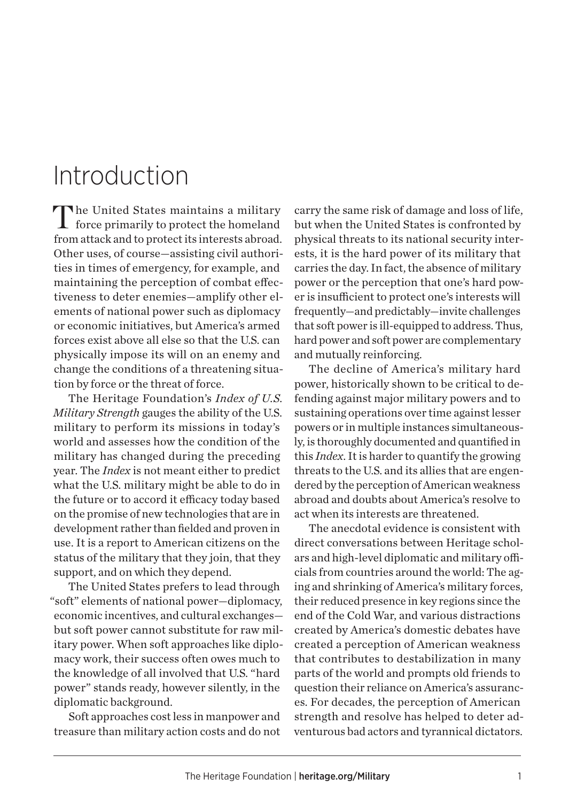# Introduction

The United States maintains a military force primarily to protect the homeland from attack and to protect its interests abroad. Other uses, of course—assisting civil authorities in times of emergency, for example, and maintaining the perception of combat efectiveness to deter enemies—amplify other elements of national power such as diplomacy or economic initiatives, but America's armed forces exist above all else so that the U.S. can physically impose its will on an enemy and change the conditions of a threatening situation by force or the threat of force.

The Heritage Foundation's *Index of U.S. Military Strength* gauges the ability of the U.S. military to perform its missions in today's world and assesses how the condition of the military has changed during the preceding year. The *Index* is not meant either to predict what the U.S. military might be able to do in the future or to accord it efficacy today based on the promise of new technologies that are in development rather than fielded and proven in use. It is a report to American citizens on the status of the military that they join, that they support, and on which they depend.

The United States prefers to lead through "soft" elements of national power—diplomacy, economic incentives, and cultural exchanges but soft power cannot substitute for raw military power. When soft approaches like diplomacy work, their success often owes much to the knowledge of all involved that U.S. "hard power" stands ready, however silently, in the diplomatic background.

Soft approaches cost less in manpower and treasure than military action costs and do not carry the same risk of damage and loss of life, but when the United States is confronted by physical threats to its national security interests, it is the hard power of its military that carries the day. In fact, the absence of military power or the perception that one's hard power is insufficient to protect one's interests will frequently—and predictably—invite challenges that soft power is ill-equipped to address. Thus, hard power and soft power are complementary and mutually reinforcing.

The decline of America's military hard power, historically shown to be critical to defending against major military powers and to sustaining operations over time against lesser powers or in multiple instances simultaneously, is thoroughly documented and quantified in this *Index*. It is harder to quantify the growing threats to the U.S. and its allies that are engendered by the perception of American weakness abroad and doubts about America's resolve to act when its interests are threatened.

The anecdotal evidence is consistent with direct conversations between Heritage scholars and high-level diplomatic and military officials from countries around the world: The aging and shrinking of America's military forces, their reduced presence in key regions since the end of the Cold War, and various distractions created by America's domestic debates have created a perception of American weakness that contributes to destabilization in many parts of the world and prompts old friends to question their reliance on America's assurances. For decades, the perception of American strength and resolve has helped to deter adventurous bad actors and tyrannical dictators.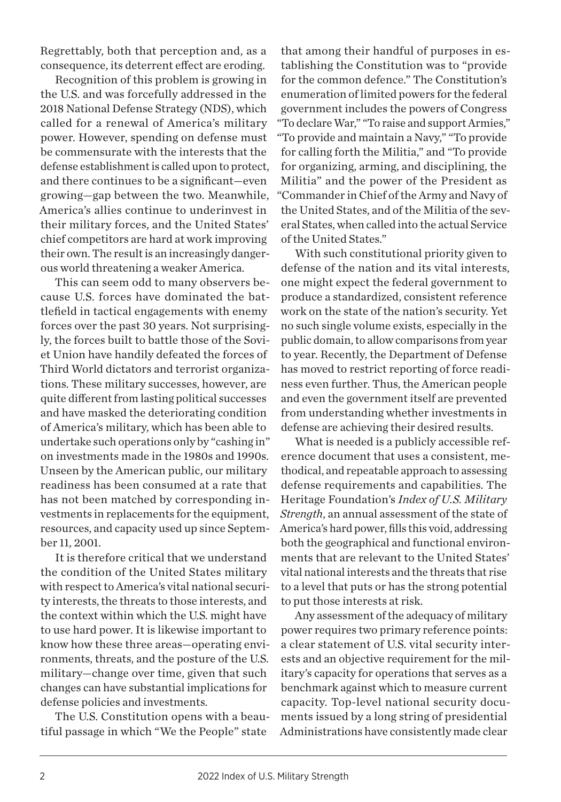Regrettably, both that perception and, as a consequence, its deterrent efect are eroding.

Recognition of this problem is growing in the U.S. and was forcefully addressed in the 2018 National Defense Strategy (NDS), which called for a renewal of America's military power. However, spending on defense must be commensurate with the interests that the defense establishment is called upon to protect, and there continues to be a significant—even growing—gap between the two. Meanwhile, America's allies continue to underinvest in their military forces, and the United States' chief competitors are hard at work improving their own. The result is an increasingly dangerous world threatening a weaker America.

This can seem odd to many observers because U.S. forces have dominated the battlefield in tactical engagements with enemy forces over the past 30 years. Not surprisingly, the forces built to battle those of the Soviet Union have handily defeated the forces of Third World dictators and terrorist organizations. These military successes, however, are quite diferent from lasting political successes and have masked the deteriorating condition of America's military, which has been able to undertake such operations only by "cashing in" on investments made in the 1980s and 1990s. Unseen by the American public, our military readiness has been consumed at a rate that has not been matched by corresponding investments in replacements for the equipment, resources, and capacity used up since September 11, 2001.

It is therefore critical that we understand the condition of the United States military with respect to America's vital national security interests, the threats to those interests, and the context within which the U.S. might have to use hard power. It is likewise important to know how these three areas—operating environments, threats, and the posture of the U.S. military—change over time, given that such changes can have substantial implications for defense policies and investments.

The U.S. Constitution opens with a beautiful passage in which "We the People" state

that among their handful of purposes in establishing the Constitution was to "provide for the common defence." The Constitution's enumeration of limited powers for the federal government includes the powers of Congress "To declare War," "To raise and support Armies," "To provide and maintain a Navy," "To provide for calling forth the Militia," and "To provide for organizing, arming, and disciplining, the Militia" and the power of the President as "Commander in Chief of the Army and Navy of the United States, and of the Militia of the several States, when called into the actual Service of the United States."

With such constitutional priority given to defense of the nation and its vital interests, one might expect the federal government to produce a standardized, consistent reference work on the state of the nation's security. Yet no such single volume exists, especially in the public domain, to allow comparisons from year to year. Recently, the Department of Defense has moved to restrict reporting of force readiness even further. Thus, the American people and even the government itself are prevented from understanding whether investments in defense are achieving their desired results.

What is needed is a publicly accessible reference document that uses a consistent, methodical, and repeatable approach to assessing defense requirements and capabilities. The Heritage Foundation's *Index of U.S. Military Strength*, an annual assessment of the state of America's hard power, fills this void, addressing both the geographical and functional environments that are relevant to the United States' vital national interests and the threats that rise to a level that puts or has the strong potential to put those interests at risk.

Any assessment of the adequacy of military power requires two primary reference points: a clear statement of U.S. vital security interests and an objective requirement for the military's capacity for operations that serves as a benchmark against which to measure current capacity. Top-level national security documents issued by a long string of presidential Administrations have consistently made clear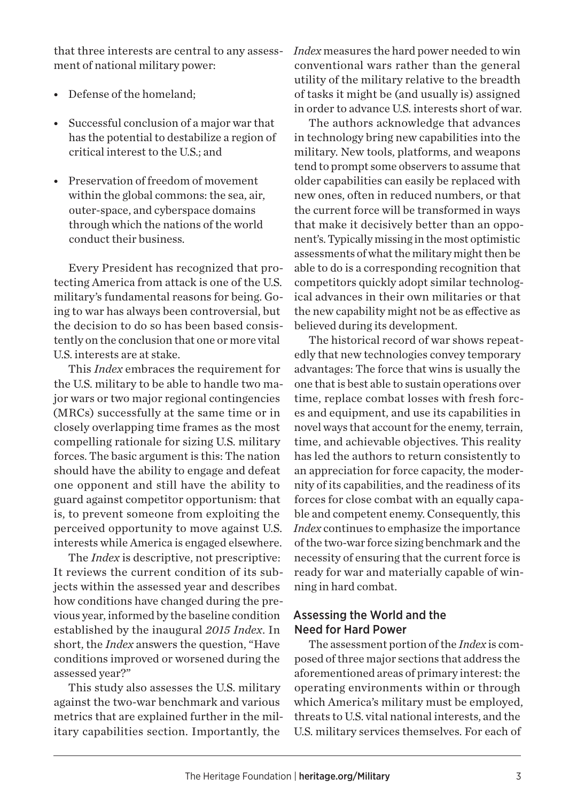that three interests are central to any assessment of national military power:

- Defense of the homeland;
- Successful conclusion of a major war that has the potential to destabilize a region of critical interest to the U.S.; and
- <sup>l</sup> Preservation of freedom of movement within the global commons: the sea, air, outer-space, and cyberspace domains through which the nations of the world conduct their business.

Every President has recognized that protecting America from attack is one of the U.S. military's fundamental reasons for being. Going to war has always been controversial, but the decision to do so has been based consistently on the conclusion that one or more vital U.S. interests are at stake.

This *Index* embraces the requirement for the U.S. military to be able to handle two major wars or two major regional contingencies (MRCs) successfully at the same time or in closely overlapping time frames as the most compelling rationale for sizing U.S. military forces. The basic argument is this: The nation should have the ability to engage and defeat one opponent and still have the ability to guard against competitor opportunism: that is, to prevent someone from exploiting the perceived opportunity to move against U.S. interests while America is engaged elsewhere.

The *Index* is descriptive, not prescriptive: It reviews the current condition of its subjects within the assessed year and describes how conditions have changed during the previous year, informed by the baseline condition established by the inaugural *2015 Index*. In short, the *Index* answers the question, "Have conditions improved or worsened during the assessed year?"

This study also assesses the U.S. military against the two-war benchmark and various metrics that are explained further in the military capabilities section. Importantly, the

*Index* measures the hard power needed to win conventional wars rather than the general utility of the military relative to the breadth of tasks it might be (and usually is) assigned in order to advance U.S. interests short of war.

The authors acknowledge that advances in technology bring new capabilities into the military. New tools, platforms, and weapons tend to prompt some observers to assume that older capabilities can easily be replaced with new ones, often in reduced numbers, or that the current force will be transformed in ways that make it decisively better than an opponent's. Typically missing in the most optimistic assessments of what the military might then be able to do is a corresponding recognition that competitors quickly adopt similar technological advances in their own militaries or that the new capability might not be as efective as believed during its development.

The historical record of war shows repeatedly that new technologies convey temporary advantages: The force that wins is usually the one that is best able to sustain operations over time, replace combat losses with fresh forces and equipment, and use its capabilities in novel ways that account for the enemy, terrain, time, and achievable objectives. This reality has led the authors to return consistently to an appreciation for force capacity, the modernity of its capabilities, and the readiness of its forces for close combat with an equally capable and competent enemy. Consequently, this *Index* continues to emphasize the importance of the two-war force sizing benchmark and the necessity of ensuring that the current force is ready for war and materially capable of winning in hard combat.

## Assessing the World and the Need for Hard Power

The assessment portion of the *Index* is composed of three major sections that address the aforementioned areas of primary interest: the operating environments within or through which America's military must be employed, threats to U.S. vital national interests, and the U.S. military services themselves. For each of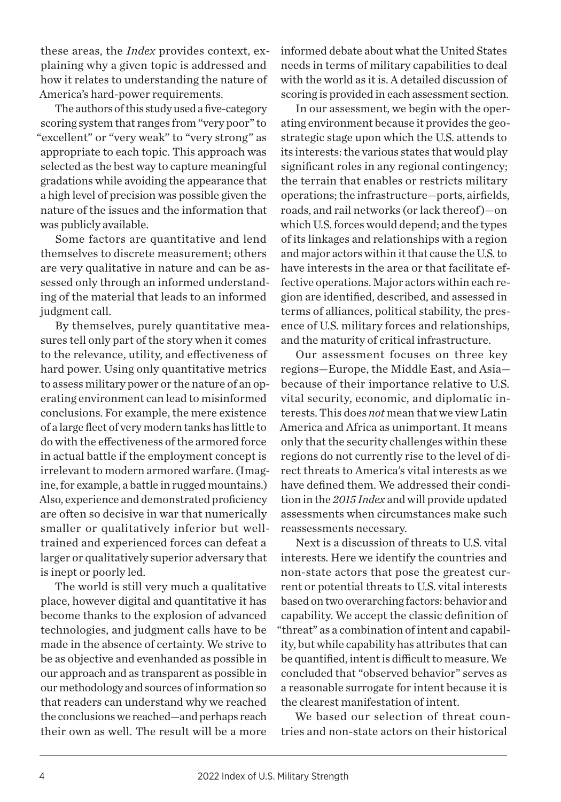these areas, the *Index* provides context, explaining why a given topic is addressed and how it relates to understanding the nature of America's hard-power requirements.

The authors of this study used a five-category scoring system that ranges from "very poor" to "excellent" or "very weak" to "very strong" as appropriate to each topic. This approach was selected as the best way to capture meaningful gradations while avoiding the appearance that a high level of precision was possible given the nature of the issues and the information that was publicly available.

Some factors are quantitative and lend themselves to discrete measurement; others are very qualitative in nature and can be assessed only through an informed understanding of the material that leads to an informed judgment call.

By themselves, purely quantitative measures tell only part of the story when it comes to the relevance, utility, and efectiveness of hard power. Using only quantitative metrics to assess military power or the nature of an operating environment can lead to misinformed conclusions. For example, the mere existence of a large fleet of very modern tanks has little to do with the efectiveness of the armored force in actual battle if the employment concept is irrelevant to modern armored warfare. (Imagine, for example, a battle in rugged mountains.) Also, experience and demonstrated proficiency are often so decisive in war that numerically smaller or qualitatively inferior but welltrained and experienced forces can defeat a larger or qualitatively superior adversary that is inept or poorly led.

The world is still very much a qualitative place, however digital and quantitative it has become thanks to the explosion of advanced technologies, and judgment calls have to be made in the absence of certainty. We strive to be as objective and evenhanded as possible in our approach and as transparent as possible in our methodology and sources of information so that readers can understand why we reached the conclusions we reached—and perhaps reach their own as well. The result will be a more informed debate about what the United States needs in terms of military capabilities to deal with the world as it is. A detailed discussion of scoring is provided in each assessment section.

In our assessment, we begin with the operating environment because it provides the geostrategic stage upon which the U.S. attends to its interests: the various states that would play significant roles in any regional contingency; the terrain that enables or restricts military operations; the infrastructure—ports, airfields, roads, and rail networks (or lack thereof )—on which U.S. forces would depend; and the types of its linkages and relationships with a region and major actors within it that cause the U.S. to have interests in the area or that facilitate effective operations. Major actors within each region are identified, described, and assessed in terms of alliances, political stability, the presence of U.S. military forces and relationships, and the maturity of critical infrastructure.

Our assessment focuses on three key regions—Europe, the Middle East, and Asia because of their importance relative to U.S. vital security, economic, and diplomatic interests. This does *not* mean that we view Latin America and Africa as unimportant. It means only that the security challenges within these regions do not currently rise to the level of direct threats to America's vital interests as we have defined them. We addressed their condition in the *2015 Index* and will provide updated assessments when circumstances make such reassessments necessary.

Next is a discussion of threats to U.S. vital interests. Here we identify the countries and non-state actors that pose the greatest current or potential threats to U.S. vital interests based on two overarching factors: behavior and capability. We accept the classic definition of "threat" as a combination of intent and capability, but while capability has attributes that can be quantified, intent is difficult to measure. We concluded that "observed behavior" serves as a reasonable surrogate for intent because it is the clearest manifestation of intent.

We based our selection of threat countries and non-state actors on their historical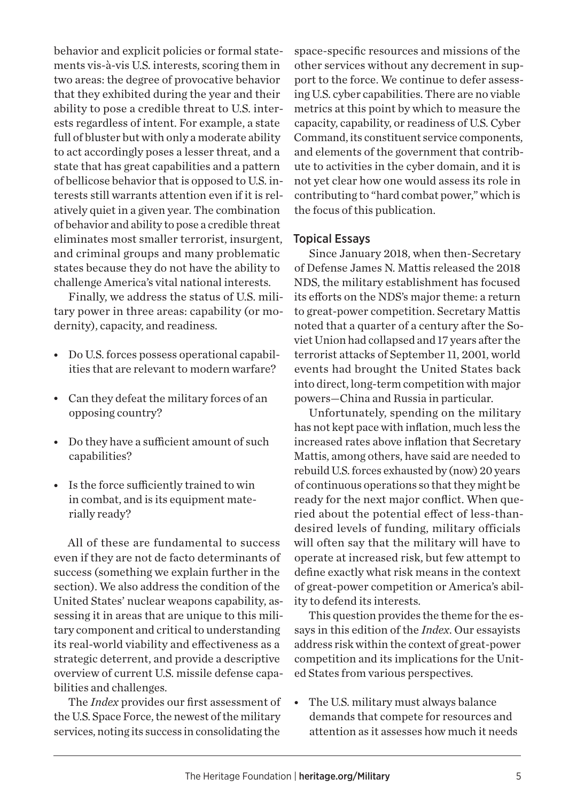behavior and explicit policies or formal statements vis-à-vis U.S. interests, scoring them in two areas: the degree of provocative behavior that they exhibited during the year and their ability to pose a credible threat to U.S. interests regardless of intent. For example, a state full of bluster but with only a moderate ability to act accordingly poses a lesser threat, and a state that has great capabilities and a pattern of bellicose behavior that is opposed to U.S. interests still warrants attention even if it is relatively quiet in a given year. The combination of behavior and ability to pose a credible threat eliminates most smaller terrorist, insurgent, and criminal groups and many problematic states because they do not have the ability to challenge America's vital national interests.

Finally, we address the status of U.S. military power in three areas: capability (or modernity), capacity, and readiness.

- Do U.S. forces possess operational capabilities that are relevant to modern warfare?
- Can they defeat the military forces of an opposing country?
- Do they have a sufficient amount of such capabilities?
- Is the force sufficiently trained to win in combat, and is its equipment materially ready?

All of these are fundamental to success even if they are not de facto determinants of success (something we explain further in the section). We also address the condition of the United States' nuclear weapons capability, assessing it in areas that are unique to this military component and critical to understanding its real-world viability and efectiveness as a strategic deterrent, and provide a descriptive overview of current U.S. missile defense capabilities and challenges.

The *Index* provides our first assessment of the U.S. Space Force, the newest of the military services, noting its success in consolidating the

space-specific resources and missions of the other services without any decrement in support to the force. We continue to defer assessing U.S. cyber capabilities. There are no viable metrics at this point by which to measure the capacity, capability, or readiness of U.S. Cyber Command, its constituent service components, and elements of the government that contribute to activities in the cyber domain, and it is not yet clear how one would assess its role in contributing to "hard combat power," which is the focus of this publication.

### Topical Essays

Since January 2018, when then-Secretary of Defense James N. Mattis released the 2018 NDS, the military establishment has focused its eforts on the NDS's major theme: a return to great-power competition. Secretary Mattis noted that a quarter of a century after the Soviet Union had collapsed and 17 years after the terrorist attacks of September 11, 2001, world events had brought the United States back into direct, long-term competition with major powers—China and Russia in particular.

Unfortunately, spending on the military has not kept pace with inflation, much less the increased rates above inflation that Secretary Mattis, among others, have said are needed to rebuild U.S. forces exhausted by (now) 20 years of continuous operations so that they might be ready for the next major conflict. When queried about the potential efect of less-thandesired levels of funding, military officials will often say that the military will have to operate at increased risk, but few attempt to define exactly what risk means in the context of great-power competition or America's ability to defend its interests.

This question provides the theme for the essays in this edition of the *Index*. Our essayists address risk within the context of great-power competition and its implications for the United States from various perspectives.

• The U.S. military must always balance demands that compete for resources and attention as it assesses how much it needs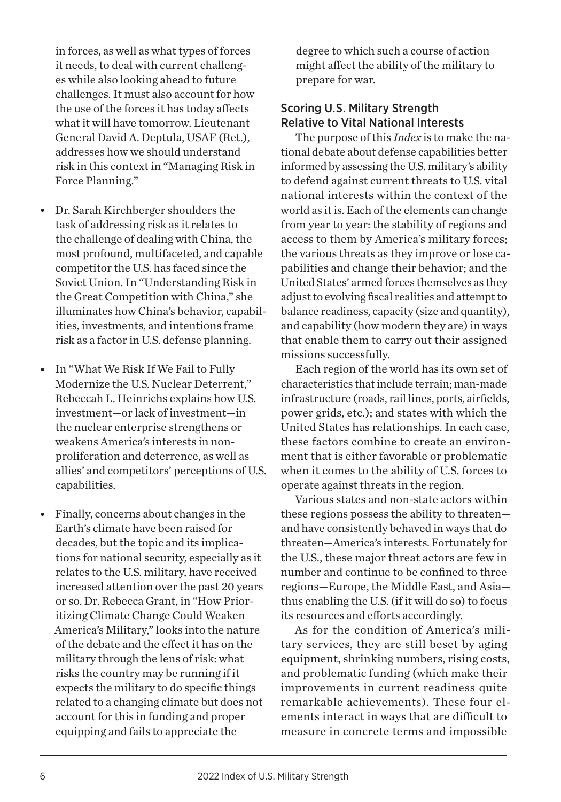in forces, as well as what types of forces it needs, to deal with current challenges while also looking ahead to future challenges. It must also account for how the use of the forces it has today afects what it will have tomorrow. Lieutenant General David A. Deptula, USAF (Ret.), addresses how we should understand risk in this context in "Managing Risk in Force Planning."

- Dr. Sarah Kirchberger shoulders the task of addressing risk as it relates to the challenge of dealing with China, the most profound, multifaceted, and capable competitor the U.S. has faced since the Soviet Union. In "Understanding Risk in the Great Competition with China," she illuminates how China's behavior, capabilities, investments, and intentions frame risk as a factor in U.S. defense planning.
- In "What We Risk If We Fail to Fully Modernize the U.S. Nuclear Deterrent," Rebeccah L. Heinrichs explains how U.S. investment—or lack of investment—in the nuclear enterprise strengthens or weakens America's interests in nonproliferation and deterrence, as well as allies' and competitors' perceptions of U.S. capabilities.
- Finally, concerns about changes in the Earth's climate have been raised for decades, but the topic and its implications for national security, especially as it relates to the U.S. military, have received increased attention over the past 20 years or so. Dr. Rebecca Grant, in "How Prioritizing Climate Change Could Weaken America's Military," looks into the nature of the debate and the efect it has on the military through the lens of risk: what risks the country may be running if it expects the military to do specific things related to a changing climate but does not account for this in funding and proper equipping and fails to appreciate the

degree to which such a course of action might afect the ability of the military to prepare for war.

## Scoring U.S. Military Strength Relative to Vital National Interests

The purpose of this *Index* is to make the national debate about defense capabilities better informed by assessing the U.S. military's ability to defend against current threats to U.S. vital national interests within the context of the world as it is. Each of the elements can change from year to year: the stability of regions and access to them by America's military forces; the various threats as they improve or lose capabilities and change their behavior; and the United States' armed forces themselves as they adjust to evolving fiscal realities and attempt to balance readiness, capacity (size and quantity), and capability (how modern they are) in ways that enable them to carry out their assigned missions successfully.

Each region of the world has its own set of characteristics that include terrain; man-made infrastructure (roads, rail lines, ports, airfields, power grids, etc.); and states with which the United States has relationships. In each case, these factors combine to create an environment that is either favorable or problematic when it comes to the ability of U.S. forces to operate against threats in the region.

Various states and non-state actors within these regions possess the ability to threaten and have consistently behaved in ways that do threaten—America's interests. Fortunately for the U.S., these major threat actors are few in number and continue to be confined to three regions—Europe, the Middle East, and Asia thus enabling the U.S. (if it will do so) to focus its resources and efforts accordingly.

As for the condition of America's military services, they are still beset by aging equipment, shrinking numbers, rising costs, and problematic funding (which make their improvements in current readiness quite remarkable achievements). These four elements interact in ways that are difficult to measure in concrete terms and impossible